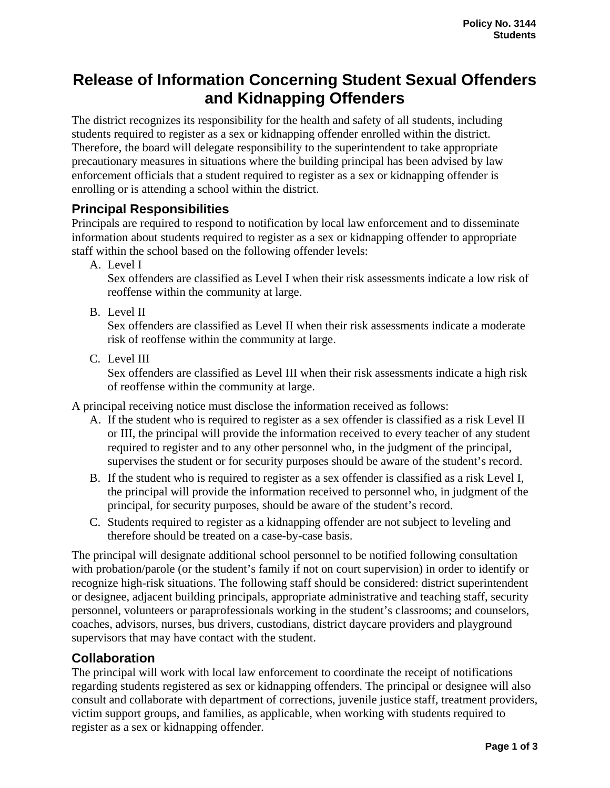# **Release of Information Concerning Student Sexual Offenders and Kidnapping Offenders**

The district recognizes its responsibility for the health and safety of all students, including students required to register as a sex or kidnapping offender enrolled within the district. Therefore, the board will delegate responsibility to the superintendent to take appropriate precautionary measures in situations where the building principal has been advised by law enforcement officials that a student required to register as a sex or kidnapping offender is enrolling or is attending a school within the district.

## **Principal Responsibilities**

Principals are required to respond to notification by local law enforcement and to disseminate information about students required to register as a sex or kidnapping offender to appropriate staff within the school based on the following offender levels:

A. Level I

Sex offenders are classified as Level I when their risk assessments indicate a low risk of reoffense within the community at large.

B. Level II

Sex offenders are classified as Level II when their risk assessments indicate a moderate risk of reoffense within the community at large.

C. Level III

Sex offenders are classified as Level III when their risk assessments indicate a high risk of reoffense within the community at large.

A principal receiving notice must disclose the information received as follows:

- A. If the student who is required to register as a sex offender is classified as a risk Level II or III, the principal will provide the information received to every teacher of any student required to register and to any other personnel who, in the judgment of the principal, supervises the student or for security purposes should be aware of the student's record.
- B. If the student who is required to register as a sex offender is classified as a risk Level I, the principal will provide the information received to personnel who, in judgment of the principal, for security purposes, should be aware of the student's record.
- C. Students required to register as a kidnapping offender are not subject to leveling and therefore should be treated on a case-by-case basis.

The principal will designate additional school personnel to be notified following consultation with probation/parole (or the student's family if not on court supervision) in order to identify or recognize high-risk situations. The following staff should be considered: district superintendent or designee, adjacent building principals, appropriate administrative and teaching staff, security personnel, volunteers or paraprofessionals working in the student's classrooms; and counselors, coaches, advisors, nurses, bus drivers, custodians, district daycare providers and playground supervisors that may have contact with the student.

### **Collaboration**

The principal will work with local law enforcement to coordinate the receipt of notifications regarding students registered as sex or kidnapping offenders. The principal or designee will also consult and collaborate with department of corrections, juvenile justice staff, treatment providers, victim support groups, and families, as applicable, when working with students required to register as a sex or kidnapping offender.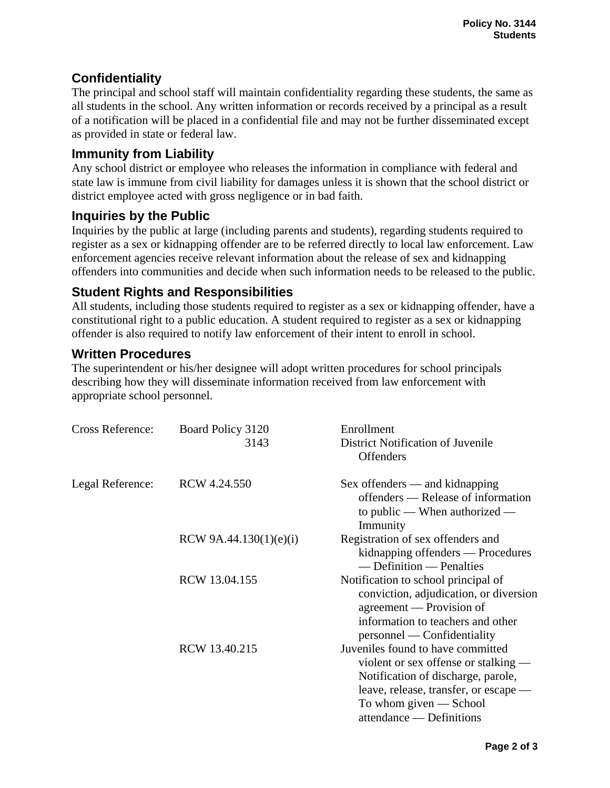# **Confidentiality**

The principal and school staff will maintain confidentiality regarding these students, the same as all students in the school. Any written information or records received by a principal as a result of a notification will be placed in a confidential file and may not be further disseminated except as provided in state or federal law.

### **Immunity from Liability**

Any school district or employee who releases the information in compliance with federal and state law is immune from civil liability for damages unless it is shown that the school district or district employee acted with gross negligence or in bad faith.

### **Inquiries by the Public**

Inquiries by the public at large (including parents and students), regarding students required to register as a sex or kidnapping offender are to be referred directly to local law enforcement. Law enforcement agencies receive relevant information about the release of sex and kidnapping offenders into communities and decide when such information needs to be released to the public.

### **Student Rights and Responsibilities**

All students, including those students required to register as a sex or kidnapping offender, have a constitutional right to a public education. A student required to register as a sex or kidnapping offender is also required to notify law enforcement of their intent to enroll in school.

### **Written Procedures**

The superintendent or his/her designee will adopt written procedures for school principals describing how they will disseminate information received from law enforcement with appropriate school personnel.

| Cross Reference: | Board Policy 3120<br>3143 | Enrollment<br>District Notification of Juvenile<br><b>Offenders</b>                                                                                                                                              |
|------------------|---------------------------|------------------------------------------------------------------------------------------------------------------------------------------------------------------------------------------------------------------|
| Legal Reference: | RCW 4.24.550              | $Sex$ offenders — and kidnapping<br>offenders — Release of information<br>to public — When authorized —<br>Immunity                                                                                              |
|                  | RCW 9A.44.130 $(1)(e)(i)$ | Registration of sex offenders and<br>kidnapping offenders — Procedures<br>— Definition — Penalties                                                                                                               |
|                  | RCW 13.04.155             | Notification to school principal of<br>conviction, adjudication, or diversion<br>agreement — Provision of<br>information to teachers and other<br>personnel — Confidentiality                                    |
|                  | RCW 13.40.215             | Juveniles found to have committed<br>violent or sex offense or stalking —<br>Notification of discharge, parole,<br>leave, release, transfer, or escape —<br>To whom given $-$ School<br>attendance — Definitions |